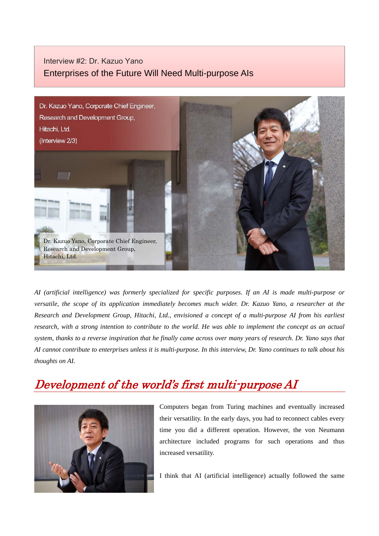#### Interview #2: Dr. Kazuo Yano Enterprises of the Future Will Need Multi-purpose AIs



*AI (artificial intelligence) was formerly specialized for specific purposes. If an AI is made multi-purpose or versatile, the scope of its application immediately becomes much wider. Dr. Kazuo Yano, a researcher at the Research and Development Group, Hitachi, Ltd., envisioned a concept of a multi-purpose AI from his earliest research, with a strong intention to contribute to the world. He was able to implement the concept as an actual system, thanks to a reverse inspiration that he finally came across over many years of research. Dr. Yano says that AI cannot contribute to enterprises unless it is multi-purpose. In this interview, Dr. Yano continues to talk about his thoughts on AI.* 

# Development of the world's first multi-purpose AI



Computers began from Turing machines and eventually increased their versatility. In the early days, you had to reconnect cables every time you did a different operation. However, the von Neumann architecture included programs for such operations and thus increased versatility.

I think that AI (artificial intelligence) actually followed the same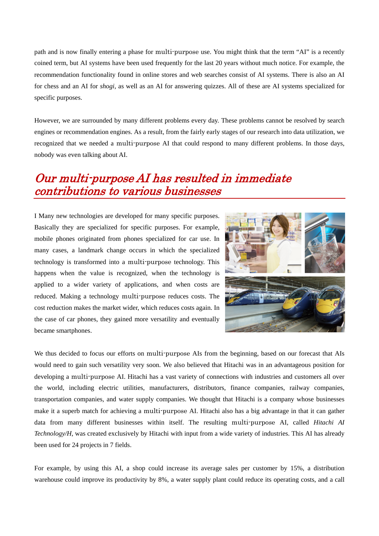path and is now finally entering a phase for multi-purpose use. You might think that the term "AI" is a recently coined term, but AI systems have been used frequently for the last 20 years without much notice. For example, the recommendation functionality found in online stores and web searches consist of AI systems. There is also an AI for chess and an AI for *shogi*, as well as an AI for answering quizzes. All of these are AI systems specialized for specific purposes.

However, we are surrounded by many different problems every day. These problems cannot be resolved by search engines or recommendation engines. As a result, from the fairly early stages of our research into data utilization, we recognized that we needed a multi-purpose AI that could respond to many different problems. In those days, nobody was even talking about AI.

### Our multi-purpose AI has resulted in immediate contributions to various businesses

I Many new technologies are developed for many specific purposes. Basically they are specialized for specific purposes. For example, mobile phones originated from phones specialized for car use. In many cases, a landmark change occurs in which the specialized technology is transformed into a multi-purpose technology. This happens when the value is recognized, when the technology is applied to a wider variety of applications, and when costs are reduced. Making a technology multi-purpose reduces costs. The cost reduction makes the market wider, which reduces costs again. In the case of car phones, they gained more versatility and eventually became smartphones.



We thus decided to focus our efforts on multi-purpose AIs from the beginning, based on our forecast that AIs would need to gain such versatility very soon. We also believed that Hitachi was in an advantageous position for developing a multi-purpose AI. Hitachi has a vast variety of connections with industries and customers all over the world, including electric utilities, manufacturers, distributors, finance companies, railway companies, transportation companies, and water supply companies. We thought that Hitachi is a company whose businesses make it a superb match for achieving a multi-purpose AI. Hitachi also has a big advantage in that it can gather data from many different businesses within itself. The resulting multi-purpose AI, called *Hitachi AI Technology/H*, was created exclusively by Hitachi with input from a wide variety of industries. This AI has already been used for 24 projects in 7 fields.

For example, by using this AI, a shop could increase its average sales per customer by 15%, a distribution warehouse could improve its productivity by 8%, a water supply plant could reduce its operating costs, and a call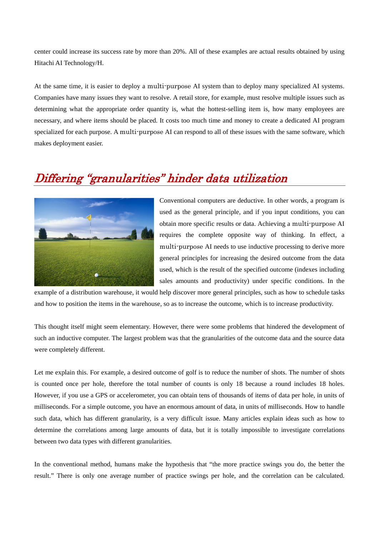center could increase its success rate by more than 20%. All of these examples are actual results obtained by using Hitachi AI Technology/H.

At the same time, it is easier to deploy a multi-purpose AI system than to deploy many specialized AI systems. Companies have many issues they want to resolve. A retail store, for example, must resolve multiple issues such as determining what the appropriate order quantity is, what the hottest-selling item is, how many employees are necessary, and where items should be placed. It costs too much time and money to create a dedicated AI program specialized for each purpose. A multi-purpose AI can respond to all of these issues with the same software, which makes deployment easier.

## Differing "granularities" hinder data utilization



Conventional computers are deductive. In other words, a program is used as the general principle, and if you input conditions, you can obtain more specific results or data. Achieving a multi-purpose AI requires the complete opposite way of thinking. In effect, a multi-purpose AI needs to use inductive processing to derive more general principles for increasing the desired outcome from the data used, which is the result of the specified outcome (indexes including sales amounts and productivity) under specific conditions. In the

example of a distribution warehouse, it would help discover more general principles, such as how to schedule tasks and how to position the items in the warehouse, so as to increase the outcome, which is to increase productivity.

This thought itself might seem elementary. However, there were some problems that hindered the development of such an inductive computer. The largest problem was that the granularities of the outcome data and the source data were completely different.

Let me explain this. For example, a desired outcome of golf is to reduce the number of shots. The number of shots is counted once per hole, therefore the total number of counts is only 18 because a round includes 18 holes. However, if you use a GPS or accelerometer, you can obtain tens of thousands of items of data per hole, in units of milliseconds. For a simple outcome, you have an enormous amount of data, in units of milliseconds. How to handle such data, which has different granularity, is a very difficult issue. Many articles explain ideas such as how to determine the correlations among large amounts of data, but it is totally impossible to investigate correlations between two data types with different granularities.

In the conventional method, humans make the hypothesis that "the more practice swings you do, the better the result." There is only one average number of practice swings per hole, and the correlation can be calculated.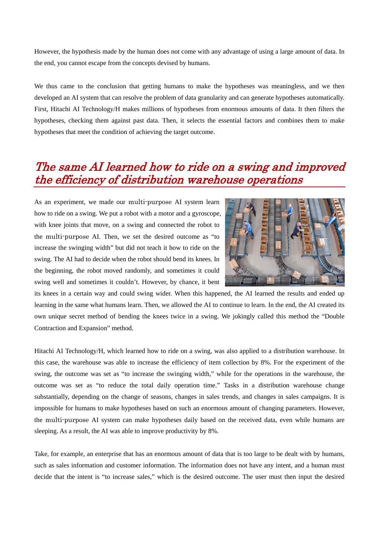However, the hypothesis made by the human does not come with any advantage of using a large amount of data. In the end, you cannot escape from the concepts devised by humans.

We thus came to the conclusion that getting humans to make the hypotheses was meaningless, and we then developed an AI system that can resolve the problem of data granularity and can generate hypotheses automatically. First, Hitachi AI Technology/H makes millions of hypotheses from enormous amounts of data. It then filters the hypotheses, checking them against past data. Then, it selects the essential factors and combines them to make hypotheses that meet the condition of achieving the target outcome.

### The same AI learned how to ride on a swing and improved the efficiency of distribution warehouse operations

As an experiment, we made our multi-purpose AI system learn how to ride on a swing. We put a robot with a motor and a gyroscope, with knee joints that move, on a swing and connected the robot to the multi-purpose AI. Then, we set the desired outcome as "to increase the swinging width" but did not teach it how to ride on the swing. The AI had to decide when the robot should bend its knees. In the beginning, the robot moved randomly, and sometimes it could swing well and sometimes it couldn't. However, by chance, it bent



its knees in a certain way and could swing wider. When this happened, the AI learned the results and ended up learning in the same what humans learn. Then, we allowed the AI to continue to learn. In the end, the AI created its own unique secret method of bending the knees twice in a swing. We jokingly called this method the "Double Contraction and Expansion" method.

Hitachi AI Technology/H, which learned how to ride on a swing, was also applied to a distribution warehouse. In this case, the warehouse was able to increase the efficiency of item collection by 8%. For the experiment of the swing, the outcome was set as "to increase the swinging width," while for the operations in the warehouse, the outcome was set as "to reduce the total daily operation time." Tasks in a distribution warehouse change substantially, depending on the change of seasons, changes in sales trends, and changes in sales campaigns. It is impossible for humans to make hypotheses based on such an enormous amount of changing parameters. However, the multi-purpose AI system can make hypotheses daily based on the received data, even while humans are sleeping. As a result, the AI was able to improve productivity by 8%.

Take, for example, an enterprise that has an enormous amount of data that is too large to be dealt with by humans, such as sales information and customer information. The information does not have any intent, and a human must decide that the intent is "to increase sales," which is the desired outcome. The user must then input the desired